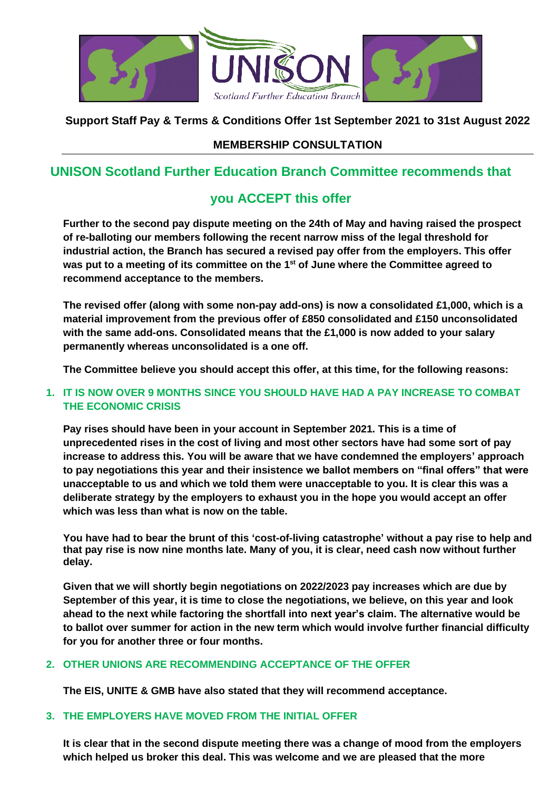

## **Support Staff Pay & Terms & Conditions Offer 1st September 2021 to 31st August 2022**

## **MEMBERSHIP CONSULTATION**

# **UNISON Scotland Further Education Branch Committee recommends that**

# **you ACCEPT this offer**

**Further to the second pay dispute meeting on the 24th of May and having raised the prospect of re-balloting our members following the recent narrow miss of the legal threshold for industrial action, the Branch has secured a revised pay offer from the employers. This offer was put to a meeting of its committee on the 1 st of June where the Committee agreed to recommend acceptance to the members.**

**The revised offer (along with some non-pay add-ons) is now a consolidated £1,000, which is a material improvement from the previous offer of £850 consolidated and £150 unconsolidated with the same add-ons. Consolidated means that the £1,000 is now added to your salary permanently whereas unconsolidated is a one off.**

**The Committee believe you should accept this offer, at this time, for the following reasons:**

#### **1. IT IS NOW OVER 9 MONTHS SINCE YOU SHOULD HAVE HAD A PAY INCREASE TO COMBAT THE ECONOMIC CRISIS**

**Pay rises should have been in your account in September 2021. This is a time of unprecedented rises in the cost of living and most other sectors have had some sort of pay increase to address this. You will be aware that we have condemned the employers' approach to pay negotiations this year and their insistence we ballot members on "final offers" that were unacceptable to us and which we told them were unacceptable to you. It is clear this was a deliberate strategy by the employers to exhaust you in the hope you would accept an offer which was less than what is now on the table.**

**You have had to bear the brunt of this 'cost-of-living catastrophe' without a pay rise to help and that pay rise is now nine months late. Many of you, it is clear, need cash now without further delay.** 

**Given that we will shortly begin negotiations on 2022/2023 pay increases which are due by September of this year, it is time to close the negotiations, we believe, on this year and look ahead to the next while factoring the shortfall into next year's claim. The alternative would be to ballot over summer for action in the new term which would involve further financial difficulty for you for another three or four months.**

## **2. OTHER UNIONS ARE RECOMMENDING ACCEPTANCE OF THE OFFER**

**The EIS, UNITE & GMB have also stated that they will recommend acceptance.**

#### **3. THE EMPLOYERS HAVE MOVED FROM THE INITIAL OFFER**

**It is clear that in the second dispute meeting there was a change of mood from the employers which helped us broker this deal. This was welcome and we are pleased that the more**